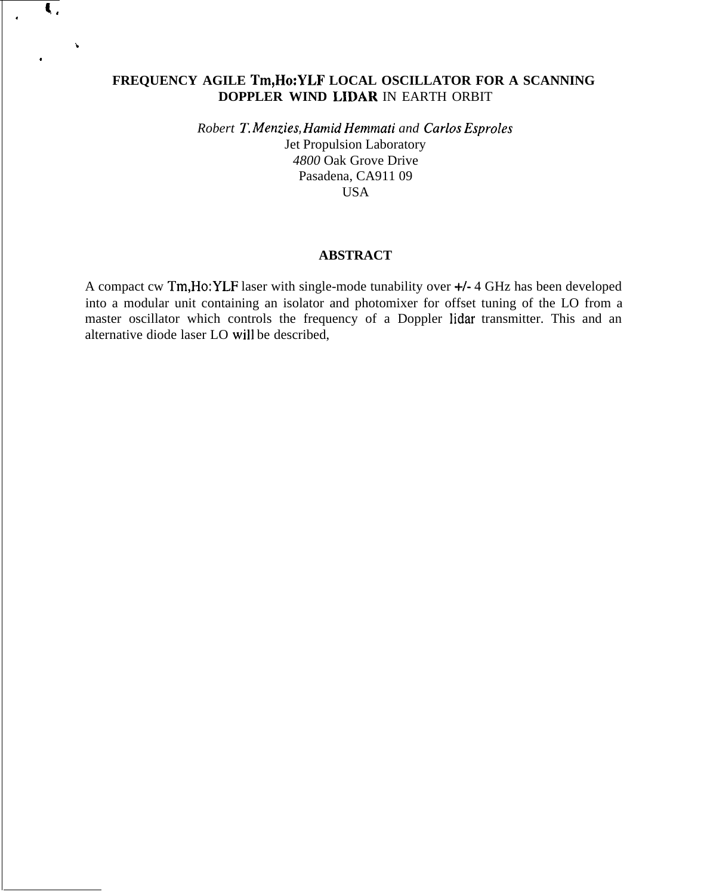# **FREQUENCY AGILE Tm,Ho:YLF LOCAL OSCILLATOR FOR A SCANNING DOPPLER WIND LIDAR** IN EARTH ORBIT

 $\left\langle \right\rangle$ 

.

b

.

*Robert T, Menzies, Hamid Hemmati and Carlos Esproles* Jet Propulsion Laboratory *4800* Oak Grove Drive Pasadena, CA911 09 USA

### **ABSTRACT**

A compact cw Tm,Ho:YLF laser with single-mode tunability over +/- 4 GHz has been developed into a modular unit containing an isolator and photomixer for offset tuning of the LO from a master oscillator which controls the frequency of a Doppler lidar transmitter. This and an alternative diode laser LO will be described,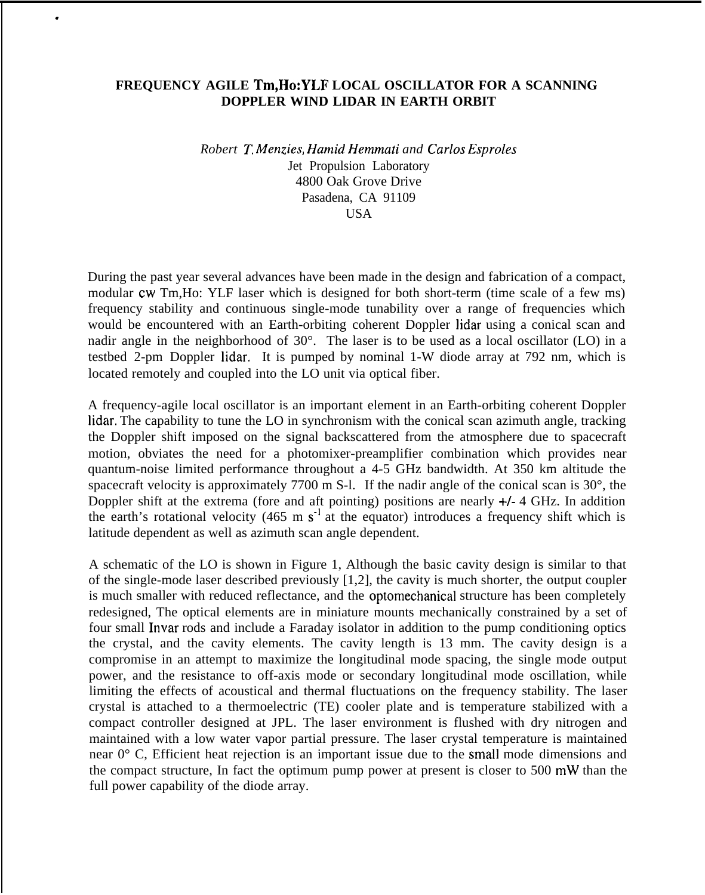## **FREQUENCY AGILE Tm,Ho:YLF LOCAL OSCILLATOR FOR A SCANNING DOPPLER WIND LIDAR IN EARTH ORBIT**

.

*Robert T, kfen.zies, Hamid Hemmati and Carlos Esproles* Jet Propulsion Laboratory 4800 Oak Grove Drive Pasadena, CA 91109 **USA** 

During the past year several advances have been made in the design and fabrication of a compact, modular cw Tm,Ho: YLF laser which is designed for both short-term (time scale of a few ms) frequency stability and continuous single-mode tunability over a range of frequencies which would be encountered with an Earth-orbiting coherent Doppler lidar using a conical scan and nadir angle in the neighborhood of 30°. The laser is to be used as a local oscillator (LO) in a testbed 2-pm Doppler lidar, It is pumped by nominal 1-W diode array at 792 nm, which is located remotely and coupled into the LO unit via optical fiber.

A frequency-agile local oscillator is an important element in an Earth-orbiting coherent Doppler Iidar, The capability to tune the LO in synchronism with the conical scan azimuth angle, tracking the Doppler shift imposed on the signal backscattered from the atmosphere due to spacecraft motion, obviates the need for a photomixer-preamplifier combination which provides near quantum-noise limited performance throughout a 4-5 GHz bandwidth. At 350 km altitude the spacecraft velocity is approximately 7700 m S-l. If the nadir angle of the conical scan is 30°, the Doppler shift at the extrema (fore and aft pointing) positions are nearly  $+/- 4$  GHz. In addition the earth's rotational velocity (465 m  $s^{-1}$  at the equator) introduces a frequency shift which is latitude dependent as well as azimuth scan angle dependent.

A schematic of the LO is shown in Figure 1, Although the basic cavity design is similar to that of the single-mode laser described previously [1,2], the cavity is much shorter, the output coupler is much smaller with reduced reflectance, and the optomechanical structure has been completely redesigned, The optical elements are in miniature mounts mechanically constrained by a set of four small Invar rods and include a Faraday isolator in addition to the pump conditioning optics the crystal, and the cavity elements. The cavity length is 13 mm. The cavity design is a compromise in an attempt to maximize the longitudinal mode spacing, the single mode output power, and the resistance to off-axis mode or secondary longitudinal mode oscillation, while limiting the effects of acoustical and thermal fluctuations on the frequency stability. The laser crystal is attached to a thermoelectric (TE) cooler plate and is temperature stabilized with a compact controller designed at JPL. The laser environment is flushed with dry nitrogen and maintained with a low water vapor partial pressure. The laser crystal temperature is maintained near 0° C, Efficient heat rejection is an important issue due to the small mode dimensions and the compact structure, In fact the optimum pump power at present is closer to 500 mW than the full power capability of the diode array.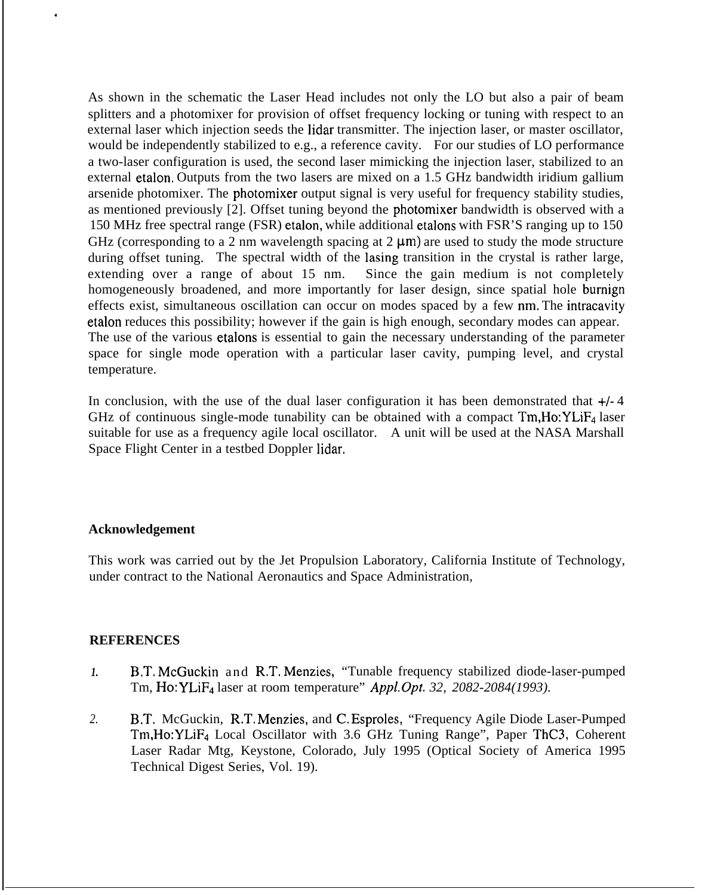As shown in the schematic the Laser Head includes not only the LO but also a pair of beam splitters and a photomixer for provision of offset frequency locking or tuning with respect to an external laser which injection seeds the lidar transmitter. The injection laser, or master oscillator, would be independently stabilized to e.g., a reference cavity. For our studies of LO performance a two-laser configuration is used, the second laser mimicking the injection laser, stabilized to an external etalon, Outputs from the two lasers are mixed on a 1.5 GHz bandwidth iridium gallium arsenide photomixer. The photomixer output signal is very useful for frequency stability studies, as mentioned previously [2]. Offset tuning beyond the photomixer bandwidth is observed with a 150 MHz free spectral range (FSR) etalon, while additional etalons with FSR'S ranging up to 150 GHz (corresponding to a 2 nm wavelength spacing at  $2 \mu m$ ) are used to study the mode structure during offset tuning. The spectral width of the lasing transition in the crystal is rather large, extending over a range of about 15 nm. Since the gain medium is not completely homogeneously broadened, and more importantly for laser design, since spatial hole burnign effects exist, simultaneous oscillation can occur on modes spaced by a few nm, The intracavity etalon reduces this possibility; however if the gain is high enough, secondary modes can appear. The use of the various etalons is essential to gain the necessary understanding of the parameter space for single mode operation with a particular laser cavity, pumping level, and crystal temperature.

In conclusion, with the use of the dual laser configuration it has been demonstrated that  $+/-4$ GHz of continuous single-mode tunability can be obtained with a compact  $Tm$ , Ho:  $YLiF<sub>4</sub>$  laser suitable for use as a frequency agile local oscillator. A unit will be used at the NASA Marshall Space Flight Center in a testbed Doppler lidar,

### **Acknowledgement**

.

This work was carried out by the Jet Propulsion Laboratory, California Institute of Technology, under contract to the National Aeronautics and Space Administration,

### **REFERENCES**

- *1.* B.T, McGuckin and R.T, Menzies, "Tunable frequency stabilized diode-laser-pumped Tm, Ho: YLiF4 laser at room temperature" *Appl. Opt. 32, 2082-2084(1993).*
- *2.* B,T. McGuckin, R.T, Menzies, and C, Esproles, "Frequency Agile Diode Laser-Pumped Tm,Ho:YLiF4 Local Oscillator with 3.6 GHz Tuning Range", Paper ThC3, Coherent Laser Radar Mtg, Keystone, Colorado, July 1995 (Optical Society of America 1995 Technical Digest Series, Vol. 19).